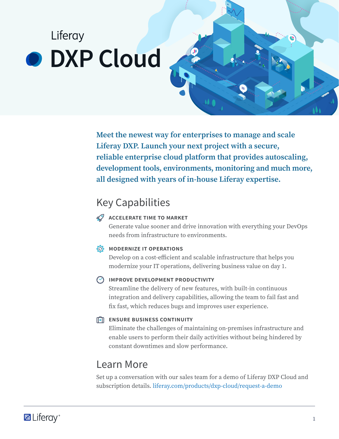# Liferay **O** DXP Cloud

**Meet the newest way for enterprises to manage and scale Liferay DXP. Launch your next project with a secure, reliable enterprise cloud platform that provides autoscaling, development tools, environments, monitoring and much more, all designed with years of in-house Liferay expertise.**

### Key Capabilities

### **Accelerate Time to Market**

Generate value sooner and drive innovation with everything your DevOps needs from infrastructure to environments.

### **MODERNIZE IT OPERATIONS**

Develop on a cost-efficient and scalable infrastructure that helps you modernize your IT operations, delivering business value on day 1.

### **IMPROVE DEVELOPMENT PRODUCTIVITY**

Streamline the delivery of new features, with built-in continuous integration and delivery capabilities, allowing the team to fail fast and fix fast, which reduces bugs and improves user experience.

### **Ensure Business Continuity**

Eliminate the challenges of maintaining on-premises infrastructure and enable users to perform their daily activities without being hindered by constant downtimes and slow performance.

### Learn More

Set up a conversation with our sales team for a demo of Liferay DXP Cloud and subscription details. <liferay.com/products/dxp-cloud/request-a-demo>